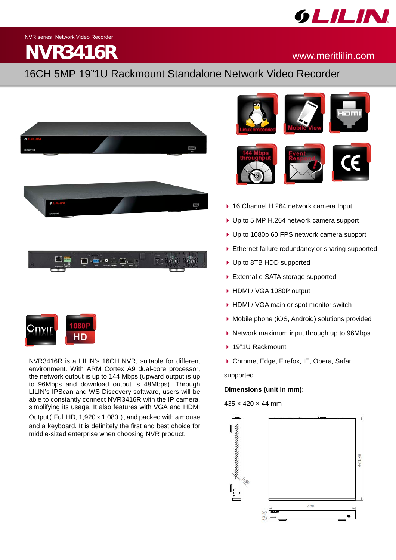

NVR series│Network Video Recorder

# **NVR3416R** www.meritlilin.com

## 16CH 5MP 19"1U Rackmount Standalone Network Video Recorder





NVR3416R is a LILIN's 16CH NVR, suitable for different environment. With ARM Cortex A9 dual-core processor, the network output is up to 144 Mbps (upward output is up to 96Mbps and download output is 48Mbps). Through LILIN's IPScan and WS-Discovery software, users will be able to constantly connect NVR3416R with the IP camera, simplifying its usage. It also features with VGA and HDMI Output(Full HD, 1,920 x 1,080), and packed with a mouse and a keyboard. It is definitely the first and best choice for middle-sized enterprise when choosing NVR product.



- ▶ 16 Channel H.264 network camera Input
- ▶ Up to 5 MP H.264 network camera support
- ▶ Up to 1080p 60 FPS network camera support
- Ethernet failure redundancy or sharing supported
- ▶ Up to 8TB HDD supported
- ▶ External e-SATA storage supported
- ▶ HDMI / VGA 1080P output
- ▶ HDMI / VGA main or spot monitor switch
- Mobile phone (iOS, Android) solutions provided
- $\triangleright$  Network maximum input through up to 96Mbps
- ▶ 19"1U Rackmount
- Chrome, Edge, Firefox, IE, Opera, Safari

supported

## **Dimensions (unit in mm):**

## $435 \times 420 \times 44$  mm

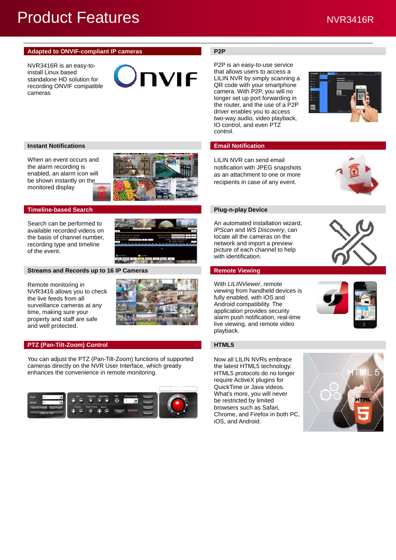## Product Features NVR3416R

## **Adapted to ONVIF-compliant IP cameras <br>P2P**

NVR3416R is an easy-toinstall Linux based standalone HD solution for recording ONVIF compatible cameras

**TIVIF** 

## **Instant Notifications Email Notification**

When an event occurs and the alarm recording is enabled, an alarm icon will be shown instantly on the monitored display



### **Timeline-based Search <b>Plug-n-play Device Plug-n-play Device**

Search can be performed to available recorded videos on the basis of channel number, recording type and timeline of the event.



## **Streams and Records up to 16 IP Cameras <b>Remote Viewing Remote Viewing**

Remote monitoring in NVR3416 allows you to check the live feeds from all surveillance cameras at any time, making sure your property and staff are safe and well protected.



### **PTZ (Pan-Tilt-Zoom) Control HTML5**

You can adjust the PTZ (Pan-Tilt-Zoom) functions of supported cameras directly on the NVR User Interface, which greatly enhances the convenience in remote monitoring.



P2P is an easy-to-use service that allows users to access a LILIN NVR by simply scanning a QR code with your smartphone camera. With P2P, you will no longer set up port forwarding in the router, and the use of a P2P driver enables you to access two-way audio, video playback, IO control, and even PTZ control.



LILIN NVR can send email notification with JPEG snapshots as an attachment to one or more recipients in case of any event.



An automated installation wizard, *IPScan* and *WS Discovery*, can locate all the cameras on the network and import a preview picture of each channel to help with identification.

With *LILINViewer*, remote viewing from handheld devices is fully enabled, with iOS and Android compatibility. The application provides security alarm push notification, real-time live viewing, and remote video playback.



Now all LILIN NVRs embrace the latest HTML5 technology. HTML5 protocols do no longer require ActiveX plugins for QuickTime or Java videos. What's more, you will never be restricted by limited browsers such as Safari, Chrome, and Firefox in both PC, iOS, and Android.